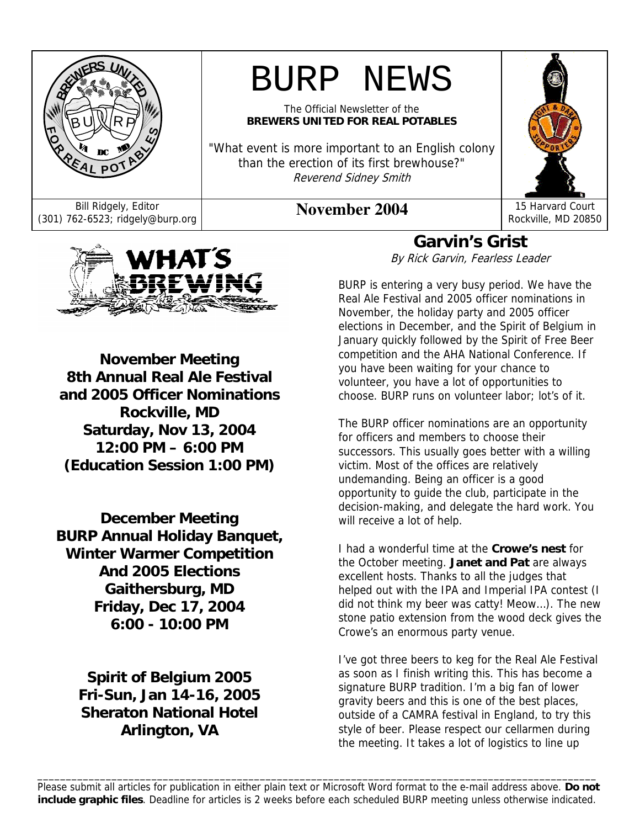



**November Meeting 8th Annual Real Ale Festival and 2005 Officer Nominations Rockville, MD Saturday, Nov 13, 2004 12:00 PM – 6:00 PM (Education Session 1:00 PM)** 

**December Meeting BURP Annual Holiday Banquet, Winter Warmer Competition And 2005 Elections Gaithersburg, MD Friday, Dec 17, 2004 6:00 - 10:00 PM** 

> **Spirit of Belgium 2005 Fri-Sun, Jan 14-16, 2005 Sheraton National Hotel Arlington, VA**

# **Garvin's Grist**

By Rick Garvin, Fearless Leader

BURP is entering a very busy period. We have the Real Ale Festival and 2005 officer nominations in November, the holiday party and 2005 officer elections in December, and the Spirit of Belgium in January quickly followed by the Spirit of Free Beer competition and the AHA National Conference. If you have been waiting for your chance to volunteer, you have a lot of opportunities to choose. BURP runs on volunteer labor; lot's of it.

The BURP officer nominations are an opportunity for officers and members to choose their successors. This usually goes better with a willing victim. Most of the offices are relatively undemanding. Being an officer is a good opportunity to guide the club, participate in the decision-making, and delegate the hard work. You will receive a lot of help.

I had a wonderful time at the **Crowe's nest** for the October meeting. **Janet and Pat** are always excellent hosts. Thanks to all the judges that helped out with the IPA and Imperial IPA contest (I did not think my beer was catty! Meow…). The new stone patio extension from the wood deck gives the Crowe's an enormous party venue.

I've got three beers to keg for the Real Ale Festival as soon as I finish writing this. This has become a signature BURP tradition. I'm a big fan of lower gravity beers and this is one of the best places, outside of a CAMRA festival in England, to try this style of beer. Please respect our cellarmen during the meeting. It takes a lot of logistics to line up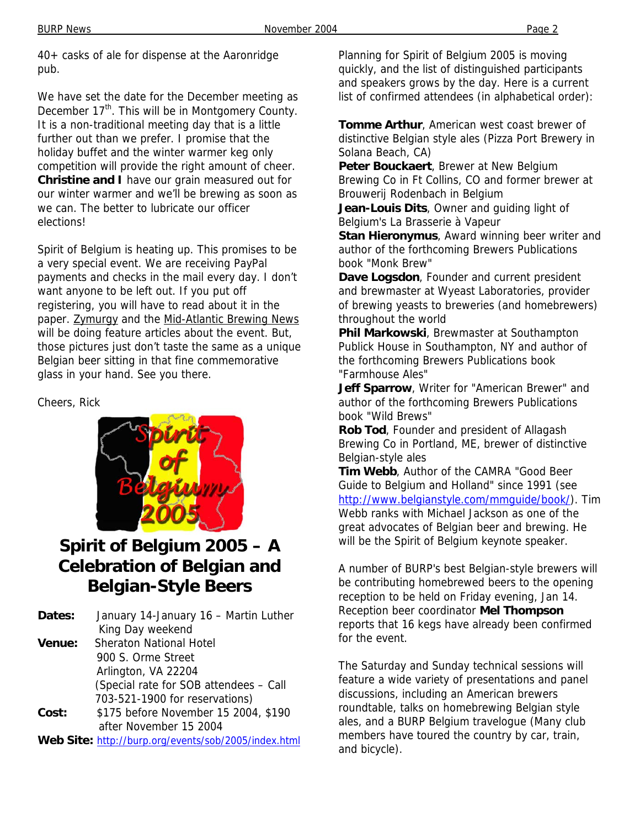40+ casks of ale for dispense at the Aaronridge pub.

We have set the date for the December meeting as December 17<sup>th</sup>. This will be in Montgomery County. It is a non-traditional meeting day that is a little further out than we prefer. I promise that the holiday buffet and the winter warmer keg only competition will provide the right amount of cheer. **Christine and I** have our grain measured out for our winter warmer and we'll be brewing as soon as we can. The better to lubricate our officer elections!

Spirit of Belgium is heating up. This promises to be a very special event. We are receiving PayPal payments and checks in the mail every day. I don't want anyone to be left out. If you put off registering, you will have to read about it in the paper. Zymurgy and the Mid-Atlantic Brewing News will be doing feature articles about the event. But, those pictures just don't taste the same as a unique Belgian beer sitting in that fine commemorative glass in your hand. See you there.

Cheers, Rick



# **Spirit of Belgium 2005 – A Celebration of Belgian and Belgian-Style Beers**

| Dates: | January 14-January 16 - Martin Luther  |  |
|--------|----------------------------------------|--|
|        | King Day weekend                       |  |
| Venue: | <b>Sheraton National Hotel</b>         |  |
|        | 900 S. Orme Street                     |  |
|        | Arlington, VA 22204                    |  |
|        | (Special rate for SOB attendees - Call |  |
|        | 703-521-1900 for reservations)         |  |
| Cost:  | \$175 before November 15 2004, \$190   |  |

after November 15 2004

**Web Site:** http://burp.org/events/sob/2005/index.html

Planning for Spirit of Belgium 2005 is moving quickly, and the list of distinguished participants and speakers grows by the day. Here is a current list of confirmed attendees (in alphabetical order):

**Tomme Arthur**, American west coast brewer of distinctive Belgian style ales (Pizza Port Brewery in Solana Beach, CA)

**Peter Bouckaert**, Brewer at New Belgium Brewing Co in Ft Collins, CO and former brewer at Brouwerij Rodenbach in Belgium

**Jean-Louis Dits**, Owner and guiding light of Belgium's La Brasserie à Vapeur

**Stan Hieronymus**, Award winning beer writer and author of the forthcoming Brewers Publications book "Monk Brew"

**Dave Logsdon**, Founder and current president and brewmaster at Wyeast Laboratories, provider of brewing yeasts to breweries (and homebrewers) throughout the world

**Phil Markowski**, Brewmaster at Southampton Publick House in Southampton, NY and author of the forthcoming Brewers Publications book "Farmhouse Ales"

**Jeff Sparrow**, Writer for "American Brewer" and author of the forthcoming Brewers Publications book "Wild Brews"

**Rob Tod**, Founder and president of Allagash Brewing Co in Portland, ME, brewer of distinctive Belgian-style ales

**Tim Webb**, Author of the CAMRA "Good Beer Guide to Belgium and Holland" since 1991 (see http://www.belgianstyle.com/mmguide/book/). Tim Webb ranks with Michael Jackson as one of the great advocates of Belgian beer and brewing. He will be the Spirit of Belgium keynote speaker.

A number of BURP's best Belgian-style brewers will be contributing homebrewed beers to the opening reception to be held on Friday evening, Jan 14. Reception beer coordinator **Mel Thompson** reports that 16 kegs have already been confirmed for the event.

The Saturday and Sunday technical sessions will feature a wide variety of presentations and panel discussions, including an American brewers roundtable, talks on homebrewing Belgian style ales, and a BURP Belgium travelogue (Many club members have toured the country by car, train, and bicycle).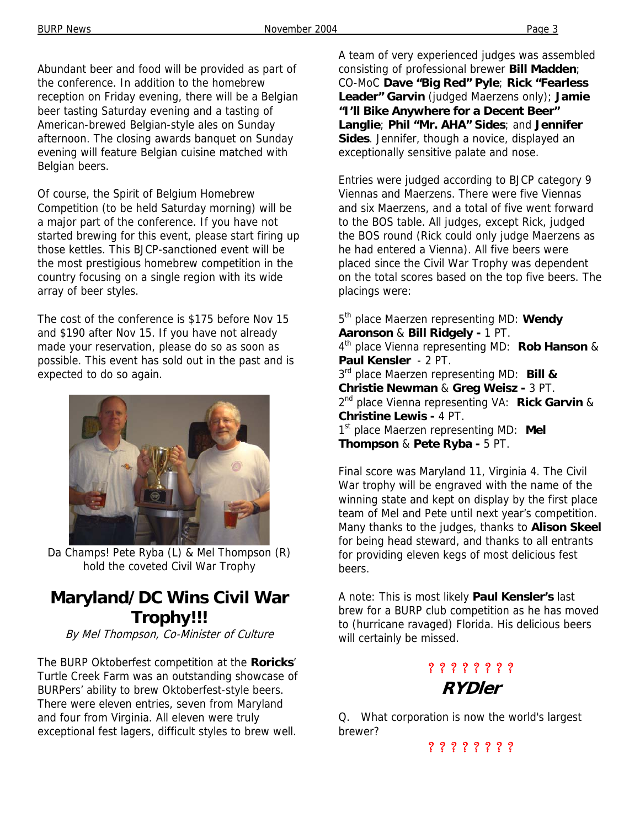Abundant beer and food will be provided as part of the conference. In addition to the homebrew reception on Friday evening, there will be a Belgian beer tasting Saturday evening and a tasting of American-brewed Belgian-style ales on Sunday afternoon. The closing awards banquet on Sunday evening will feature Belgian cuisine matched with Belgian beers.

Of course, the Spirit of Belgium Homebrew Competition (to be held Saturday morning) will be a major part of the conference. If you have not started brewing for this event, please start firing up those kettles. This BJCP-sanctioned event will be the most prestigious homebrew competition in the country focusing on a single region with its wide array of beer styles.

The cost of the conference is \$175 before Nov 15 and \$190 after Nov 15. If you have not already made your reservation, please do so as soon as possible. This event has sold out in the past and is expected to do so again.



Da Champs! Pete Ryba (L) & Mel Thompson (R) hold the coveted Civil War Trophy

## **Maryland/DC Wins Civil War Trophy!!!**

By Mel Thompson, Co-Minister of Culture

The BURP Oktoberfest competition at the **Roricks**' Turtle Creek Farm was an outstanding showcase of BURPers' ability to brew Oktoberfest-style beers. There were eleven entries, seven from Maryland and four from Virginia. All eleven were truly exceptional fest lagers, difficult styles to brew well.

A team of very experienced judges was assembled consisting of professional brewer **Bill Madden**; CO-MoC **Dave "Big Red" Pyle**; **Rick "Fearless Leader" Garvin** (judged Maerzens only); **Jamie "I'll Bike Anywhere for a Decent Beer" Langlie**; **Phil "Mr. AHA" Sides**; and **Jennifer Sides**. Jennifer, though a novice, displayed an exceptionally sensitive palate and nose.

Entries were judged according to BJCP category 9 Viennas and Maerzens. There were five Viennas and six Maerzens, and a total of five went forward to the BOS table. All judges, except Rick, judged the BOS round (Rick could only judge Maerzens as he had entered a Vienna). All five beers were placed since the Civil War Trophy was dependent on the total scores based on the top five beers. The placings were:

5th place Maerzen representing MD: **Wendy Aaronson** & **Bill Ridgely -** 1 PT. 4th place Vienna representing MD: **Rob Hanson** & **Paul Kensler** - 2 PT. 3rd place Maerzen representing MD: **Bill & Christie Newman** & **Greg Weisz -** 3 PT. 2nd place Vienna representing VA: **Rick Garvin** & **Christine Lewis -** 4 PT. 1st place Maerzen representing MD: **Mel Thompson** & **Pete Ryba -** 5 PT.

Final score was Maryland 11, Virginia 4. The Civil War trophy will be engraved with the name of the winning state and kept on display by the first place team of Mel and Pete until next year's competition. Many thanks to the judges, thanks to **Alison Skeel** for being head steward, and thanks to all entrants for providing eleven kegs of most delicious fest beers.

A note: This is most likely **Paul Kensler's** last brew for a BURP club competition as he has moved to (hurricane ravaged) Florida. His delicious beers will certainly be missed.

## ? ? ? ? ? ? ? ? **RYDler**

Q. What corporation is now the world's largest brewer?

? ? ? ? ? ? ? ?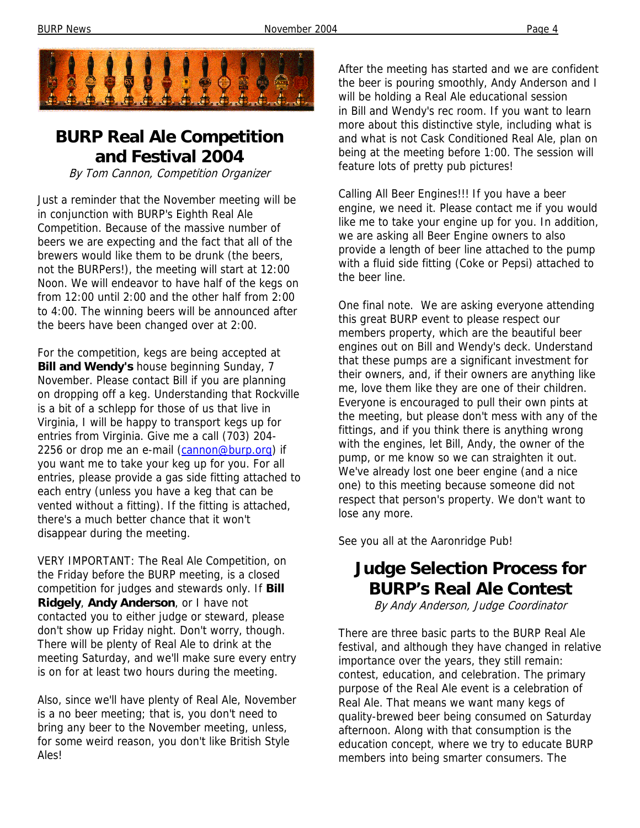

## **BURP Real Ale Competition and Festival 2004**

By Tom Cannon, Competition Organizer

Just a reminder that the November meeting will be in conjunction with BURP's Eighth Real Ale Competition. Because of the massive number of beers we are expecting and the fact that all of the brewers would like them to be drunk (the beers, not the BURPers!), the meeting will start at 12:00 Noon. We will endeavor to have half of the kegs on from 12:00 until 2:00 and the other half from 2:00 to 4:00. The winning beers will be announced after the beers have been changed over at 2:00.

For the competition, kegs are being accepted at **Bill and Wendy's** house beginning Sunday, 7 November. Please contact Bill if you are planning on dropping off a keg. Understanding that Rockville is a bit of a schlepp for those of us that live in Virginia, I will be happy to transport kegs up for entries from Virginia. Give me a call (703) 204- 2256 or drop me an e-mail (cannon@burp.org) if you want me to take your keg up for you. For all entries, please provide a gas side fitting attached to each entry (unless you have a keg that can be vented without a fitting). If the fitting is attached, there's a much better chance that it won't disappear during the meeting.

VERY IMPORTANT: The Real Ale Competition, on the Friday before the BURP meeting, is a closed competition for judges and stewards only. If **Bill Ridgely**, **Andy Anderson**, or I have not contacted you to either judge or steward, please don't show up Friday night. Don't worry, though. There will be plenty of Real Ale to drink at the meeting Saturday, and we'll make sure every entry is on for at least two hours during the meeting.

Also, since we'll have plenty of Real Ale, November is a no beer meeting; that is, you don't need to bring any beer to the November meeting, unless, for some weird reason, you don't like British Style Ales!

After the meeting has started and we are confident the beer is pouring smoothly, Andy Anderson and I will be holding a Real Ale educational session in Bill and Wendy's rec room. If you want to learn more about this distinctive style, including what is and what is not Cask Conditioned Real Ale, plan on being at the meeting before 1:00. The session will feature lots of pretty pub pictures!

Calling All Beer Engines!!! If you have a beer engine, we need it. Please contact me if you would like me to take your engine up for you. In addition, we are asking all Beer Engine owners to also provide a length of beer line attached to the pump with a fluid side fitting (Coke or Pepsi) attached to the beer line.

One final note. We are asking everyone attending this great BURP event to please respect our members property, which are the beautiful beer engines out on Bill and Wendy's deck. Understand that these pumps are a significant investment for their owners, and, if their owners are anything like me, love them like they are one of their children. Everyone is encouraged to pull their own pints at the meeting, but please don't mess with any of the fittings, and if you think there is anything wrong with the engines, let Bill, Andy, the owner of the pump, or me know so we can straighten it out. We've already lost one beer engine (and a nice one) to this meeting because someone did not respect that person's property. We don't want to lose any more.

See you all at the Aaronridge Pub!

## **Judge Selection Process for BURP's Real Ale Contest**

By Andy Anderson, Judge Coordinator

There are three basic parts to the BURP Real Ale festival, and although they have changed in relative importance over the years, they still remain: contest, education, and celebration. The primary purpose of the Real Ale event is a celebration of Real Ale. That means we want many kegs of quality-brewed beer being consumed on Saturday afternoon. Along with that consumption is the education concept, where we try to educate BURP members into being smarter consumers. The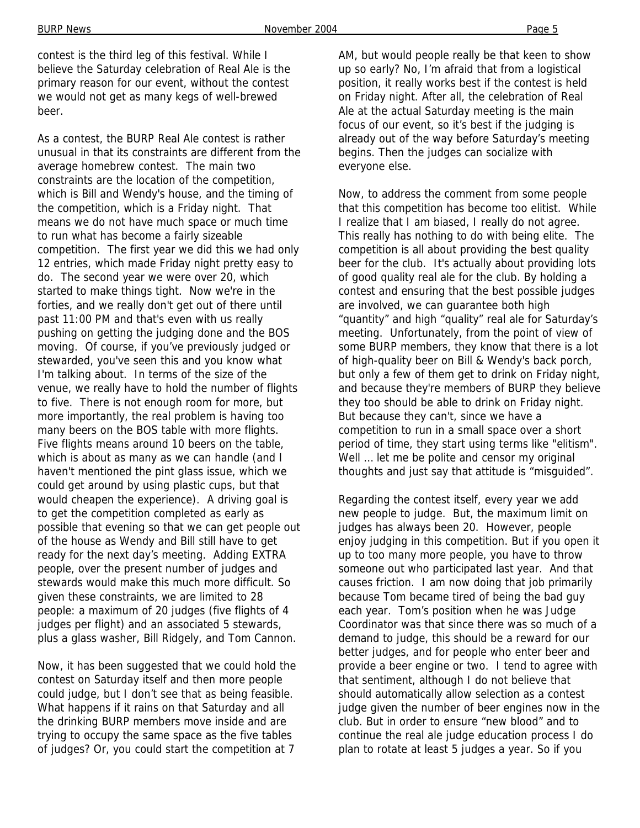contest is the third leg of this festival. While I believe the Saturday celebration of Real Ale is the primary reason for our event, without the contest we would not get as many kegs of well-brewed beer.

As a contest, the BURP Real Ale contest is rather unusual in that its constraints are different from the average homebrew contest. The main two constraints are the location of the competition, which is Bill and Wendy's house, and the timing of the competition, which is a Friday night. That means we do not have much space or much time to run what has become a fairly sizeable competition. The first year we did this we had only 12 entries, which made Friday night pretty easy to do. The second year we were over 20, which started to make things tight. Now we're in the forties, and we really don't get out of there until past 11:00 PM and that's even with us really pushing on getting the judging done and the BOS moving. Of course, if you've previously judged or stewarded, you've seen this and you know what I'm talking about. In terms of the size of the venue, we really have to hold the number of flights to five. There is not enough room for more, but more importantly, the real problem is having too many beers on the BOS table with more flights. Five flights means around 10 beers on the table, which is about as many as we can handle (and I haven't mentioned the pint glass issue, which we could get around by using plastic cups, but that would cheapen the experience). A driving goal is to get the competition completed as early as possible that evening so that we can get people out of the house as Wendy and Bill still have to get ready for the next day's meeting. Adding EXTRA people, over the present number of judges and stewards would make this much more difficult. So given these constraints, we are limited to 28 people: a maximum of 20 judges (five flights of 4 judges per flight) and an associated 5 stewards, plus a glass washer, Bill Ridgely, and Tom Cannon.

Now, it has been suggested that we could hold the contest on Saturday itself and then more people could judge, but I don't see that as being feasible. What happens if it rains on that Saturday and all the drinking BURP members move inside and are trying to occupy the same space as the five tables of judges? Or, you could start the competition at 7

AM, but would people really be that keen to show up so early? No, I'm afraid that from a logistical position, it really works best if the contest is held on Friday night. After all, the celebration of Real Ale at the actual Saturday meeting is the main focus of our event, so it's best if the judging is already out of the way before Saturday's meeting begins. Then the judges can socialize with everyone else.

Now, to address the comment from some people that this competition has become too elitist. While I realize that I am biased, I really do not agree. This really has nothing to do with being elite. The competition is all about providing the best quality beer for the club. It's actually about providing lots of good quality real ale for the club. By holding a contest and ensuring that the best possible judges are involved, we can guarantee both high "quantity" and high "quality" real ale for Saturday's meeting. Unfortunately, from the point of view of some BURP members, they know that there is a lot of high-quality beer on Bill & Wendy's back porch, but only a few of them get to drink on Friday night, and because they're members of BURP they believe they too should be able to drink on Friday night. But because they can't, since we have a competition to run in a small space over a short period of time, they start using terms like "elitism". Well ... let me be polite and censor my original thoughts and just say that attitude is "misguided".

Regarding the contest itself, every year we add new people to judge. But, the maximum limit on judges has always been 20. However, people enjoy judging in this competition. But if you open it up to too many more people, you have to throw someone out who participated last year. And that causes friction. I am now doing that job primarily because Tom became tired of being the bad guy each year. Tom's position when he was Judge Coordinator was that since there was so much of a demand to judge, this should be a reward for our better judges, and for people who enter beer and provide a beer engine or two. I tend to agree with that sentiment, although I do not believe that should automatically allow selection as a contest judge given the number of beer engines now in the club. But in order to ensure "new blood" and to continue the real ale judge education process I do plan to rotate at least 5 judges a year. So if you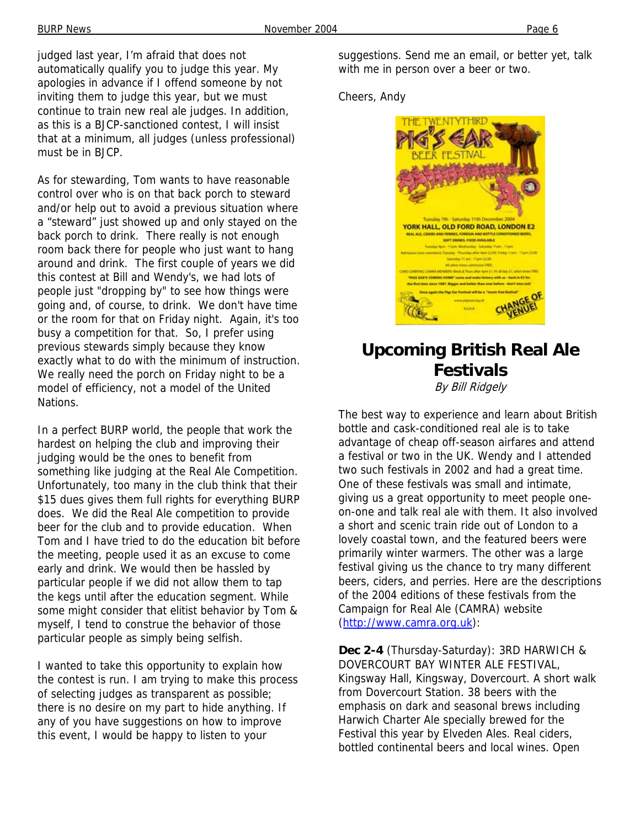judged last year, I'm afraid that does not automatically qualify you to judge this year. My apologies in advance if I offend someone by not inviting them to judge this year, but we must continue to train new real ale judges. In addition, as this is a BJCP-sanctioned contest, I will insist that at a minimum, all judges (unless professional) must be in BJCP.

As for stewarding, Tom wants to have reasonable control over who is on that back porch to steward and/or help out to avoid a previous situation where a "steward" just showed up and only stayed on the back porch to drink. There really is not enough room back there for people who just want to hang around and drink. The first couple of years we did this contest at Bill and Wendy's, we had lots of people just "dropping by" to see how things were going and, of course, to drink. We don't have time or the room for that on Friday night. Again, it's too busy a competition for that. So, I prefer using previous stewards simply because they know exactly what to do with the minimum of instruction. We really need the porch on Friday night to be a model of efficiency, not a model of the United Nations.

In a perfect BURP world, the people that work the hardest on helping the club and improving their judging would be the ones to benefit from something like judging at the Real Ale Competition. Unfortunately, too many in the club think that their \$15 dues gives them full rights for everything BURP does. We did the Real Ale competition to provide beer for the club and to provide education. When Tom and I have tried to do the education bit before the meeting, people used it as an excuse to come early and drink. We would then be hassled by particular people if we did not allow them to tap the kegs until after the education segment. While some might consider that elitist behavior by Tom & myself, I tend to construe the behavior of those particular people as simply being selfish.

I wanted to take this opportunity to explain how the contest is run. I am trying to make this process of selecting judges as transparent as possible; there is no desire on my part to hide anything. If any of you have suggestions on how to improve this event, I would be happy to listen to your

suggestions. Send me an email, or better yet, talk with me in person over a beer or two.

Cheers, Andy



### **Upcoming British Real Ale Festivals** By Bill Ridgely

The best way to experience and learn about British bottle and cask-conditioned real ale is to take advantage of cheap off-season airfares and attend a festival or two in the UK. Wendy and I attended two such festivals in 2002 and had a great time. One of these festivals was small and intimate, giving us a great opportunity to meet people oneon-one and talk real ale with them. It also involved a short and scenic train ride out of London to a lovely coastal town, and the featured beers were primarily winter warmers. The other was a large festival giving us the chance to try many different beers, ciders, and perries. Here are the descriptions of the 2004 editions of these festivals from the Campaign for Real Ale (CAMRA) website (http://www.camra.org.uk):

**Dec 2-4** (Thursday-Saturday): 3RD HARWICH & DOVERCOURT BAY WINTER ALE FESTIVAL, Kingsway Hall, Kingsway, Dovercourt. A short walk from Dovercourt Station. 38 beers with the emphasis on dark and seasonal brews including Harwich Charter Ale specially brewed for the Festival this year by Elveden Ales. Real ciders, bottled continental beers and local wines. Open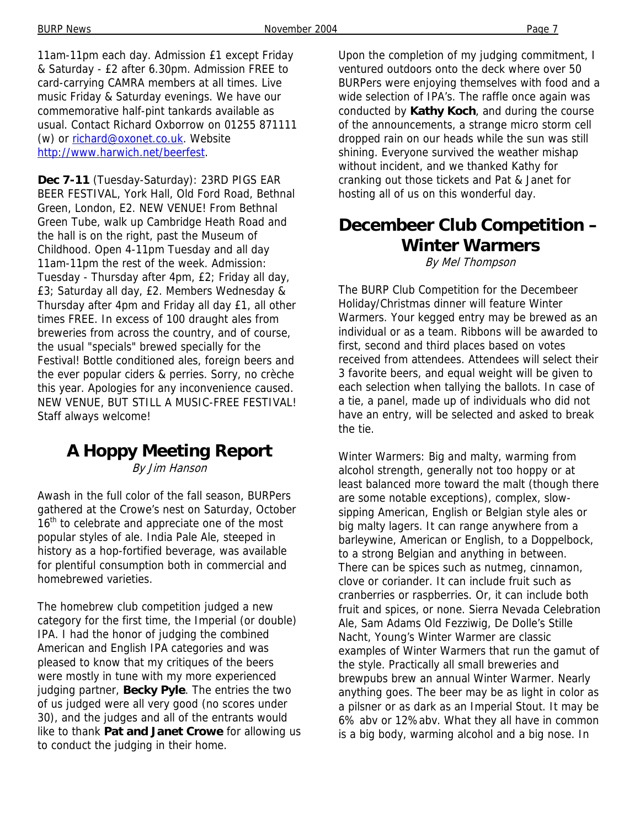11am-11pm each day. Admission £1 except Friday & Saturday - £2 after 6.30pm. Admission FREE to card-carrying CAMRA members at all times. Live music Friday & Saturday evenings. We have our commemorative half-pint tankards available as usual. Contact Richard Oxborrow on 01255 871111 (w) or richard@oxonet.co.uk. Website http://www.harwich.net/beerfest.

**Dec 7-11** (Tuesday-Saturday): 23RD PIGS EAR BEER FESTIVAL, York Hall, Old Ford Road, Bethnal Green, London, E2. NEW VENUE! From Bethnal Green Tube, walk up Cambridge Heath Road and the hall is on the right, past the Museum of Childhood. Open 4-11pm Tuesday and all day 11am-11pm the rest of the week. Admission: Tuesday - Thursday after 4pm, £2; Friday all day, £3; Saturday all day, £2. Members Wednesday & Thursday after 4pm and Friday all day £1, all other times FREE. In excess of 100 draught ales from breweries from across the country, and of course, the usual "specials" brewed specially for the Festival! Bottle conditioned ales, foreign beers and the ever popular ciders & perries. Sorry, no crèche this year. Apologies for any inconvenience caused. NEW VENUE, BUT STILL A MUSIC-FREE FESTIVAL! Staff always welcome!

# **A Hoppy Meeting Report**

By Jim Hanson

Awash in the full color of the fall season, BURPers gathered at the Crowe's nest on Saturday, October 16<sup>th</sup> to celebrate and appreciate one of the most popular styles of ale. India Pale Ale, steeped in history as a hop-fortified beverage, was available for plentiful consumption both in commercial and homebrewed varieties.

The homebrew club competition judged a new category for the first time, the Imperial (or double) IPA. I had the honor of judging the combined American and English IPA categories and was pleased to know that my critiques of the beers were mostly in tune with my more experienced judging partner, **Becky Pyle**. The entries the two of us judged were all very good (no scores under 30), and the judges and all of the entrants would like to thank **Pat and Janet Crowe** for allowing us to conduct the judging in their home.

Upon the completion of my judging commitment, I ventured outdoors onto the deck where over 50 BURPers were enjoying themselves with food and a wide selection of IPA's. The raffle once again was conducted by **Kathy Koch**, and during the course of the announcements, a strange micro storm cell dropped rain on our heads while the sun was still shining. Everyone survived the weather mishap without incident, and we thanked Kathy for cranking out those tickets and Pat & Janet for hosting all of us on this wonderful day.

## **Decembeer Club Competition – Winter Warmers**

By Mel Thompson

The BURP Club Competition for the Decembeer Holiday/Christmas dinner will feature Winter Warmers. Your kegged entry may be brewed as an individual or as a team. Ribbons will be awarded to first, second and third places based on votes received from attendees. Attendees will select their 3 favorite beers, and equal weight will be given to each selection when tallying the ballots. In case of a tie, a panel, made up of individuals who did not have an entry, will be selected and asked to break the tie.

Winter Warmers: Big and malty, warming from alcohol strength, generally not too hoppy or at least balanced more toward the malt (though there are some notable exceptions), complex, slowsipping American, English or Belgian style ales or big malty lagers. It can range anywhere from a barleywine, American or English, to a Doppelbock, to a strong Belgian and anything in between. There can be spices such as nutmeg, cinnamon, clove or coriander. It can include fruit such as cranberries or raspberries. Or, it can include both fruit and spices, or none. Sierra Nevada Celebration Ale, Sam Adams Old Fezziwig, De Dolle's Stille Nacht, Young's Winter Warmer are classic examples of Winter Warmers that run the gamut of the style. Practically all small breweries and brewpubs brew an annual Winter Warmer. Nearly anything goes. The beer may be as light in color as a pilsner or as dark as an Imperial Stout. It may be 6% abv or 12%abv. What they all have in common is a big body, warming alcohol and a big nose. In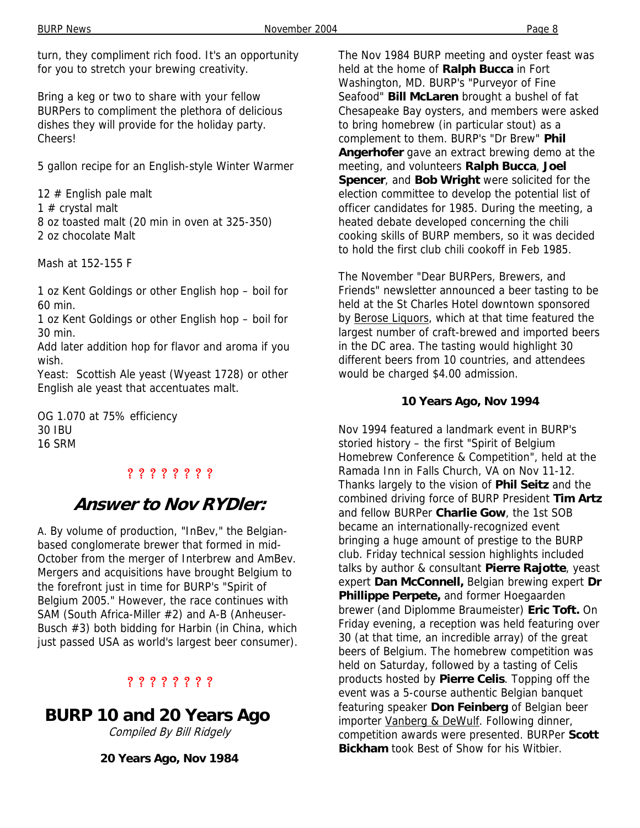turn, they compliment rich food. It's an opportunity for you to stretch your brewing creativity.

Bring a keg or two to share with your fellow BURPers to compliment the plethora of delicious dishes they will provide for the holiday party. Cheers!

5 gallon recipe for an English-style Winter Warmer

12 # English pale malt 1  $#$  crystal malt 8 oz toasted malt (20 min in oven at 325-350) 2 oz chocolate Malt

Mash at 152-155 F

1 oz Kent Goldings or other English hop – boil for 60 min.

1 oz Kent Goldings or other English hop – boil for 30 min.

Add later addition hop for flavor and aroma if you wish.

Yeast: Scottish Ale yeast (Wyeast 1728) or other English ale yeast that accentuates malt.

OG 1.070 at 75% efficiency 30 IBU 16 SRM

### ? ? ? ? ? ? ? ?

## **Answer to Nov RYDler:**

A. By volume of production, "InBev," the Belgianbased conglomerate brewer that formed in mid-October from the merger of Interbrew and AmBev. Mergers and acquisitions have brought Belgium to the forefront just in time for BURP's "Spirit of Belgium 2005." However, the race continues with SAM (South Africa-Miller #2) and A-B (Anheuser-Busch #3) both bidding for Harbin (in China, which just passed USA as world's largest beer consumer).

#### ? ? ? ? ? ? ? ?

**BURP 10 and 20 Years Ago** 

Compiled By Bill Ridgely

**20 Years Ago, Nov 1984** 

The Nov 1984 BURP meeting and oyster feast was held at the home of **Ralph Bucca** in Fort Washington, MD. BURP's "Purveyor of Fine Seafood" **Bill McLaren** brought a bushel of fat Chesapeake Bay oysters, and members were asked to bring homebrew (in particular stout) as a complement to them. BURP's "Dr Brew" **Phil Angerhofer** gave an extract brewing demo at the meeting, and volunteers **Ralph Bucca**, **Joel Spencer**, and **Bob Wright** were solicited for the election committee to develop the potential list of officer candidates for 1985. During the meeting, a heated debate developed concerning the chili cooking skills of BURP members, so it was decided to hold the first club chili cookoff in Feb 1985.

The November "Dear BURPers, Brewers, and Friends" newsletter announced a beer tasting to be held at the St Charles Hotel downtown sponsored by Berose Liquors, which at that time featured the largest number of craft-brewed and imported beers in the DC area. The tasting would highlight 30 different beers from 10 countries, and attendees would be charged \$4.00 admission.

#### **10 Years Ago, Nov 1994**

Nov 1994 featured a landmark event in BURP's storied history – the first "Spirit of Belgium Homebrew Conference & Competition", held at the Ramada Inn in Falls Church, VA on Nov 11-12. Thanks largely to the vision of **Phil Seitz** and the combined driving force of BURP President **Tim Artz**  and fellow BURPer **Charlie Gow**, the 1st SOB became an internationally-recognized event bringing a huge amount of prestige to the BURP club. Friday technical session highlights included talks by author & consultant **Pierre Rajotte**, yeast expert **Dan McConnell,** Belgian brewing expert **Dr Phillippe Perpete,** and former Hoegaarden brewer (and Diplomme Braumeister) **Eric Toft.** On Friday evening, a reception was held featuring over 30 (at that time, an incredible array) of the great beers of Belgium. The homebrew competition was held on Saturday, followed by a tasting of Celis products hosted by **Pierre Celis**. Topping off the event was a 5-course authentic Belgian banquet featuring speaker **Don Feinberg** of Belgian beer importer Vanberg & DeWulf. Following dinner, competition awards were presented. BURPer **Scott Bickham** took Best of Show for his Witbier.